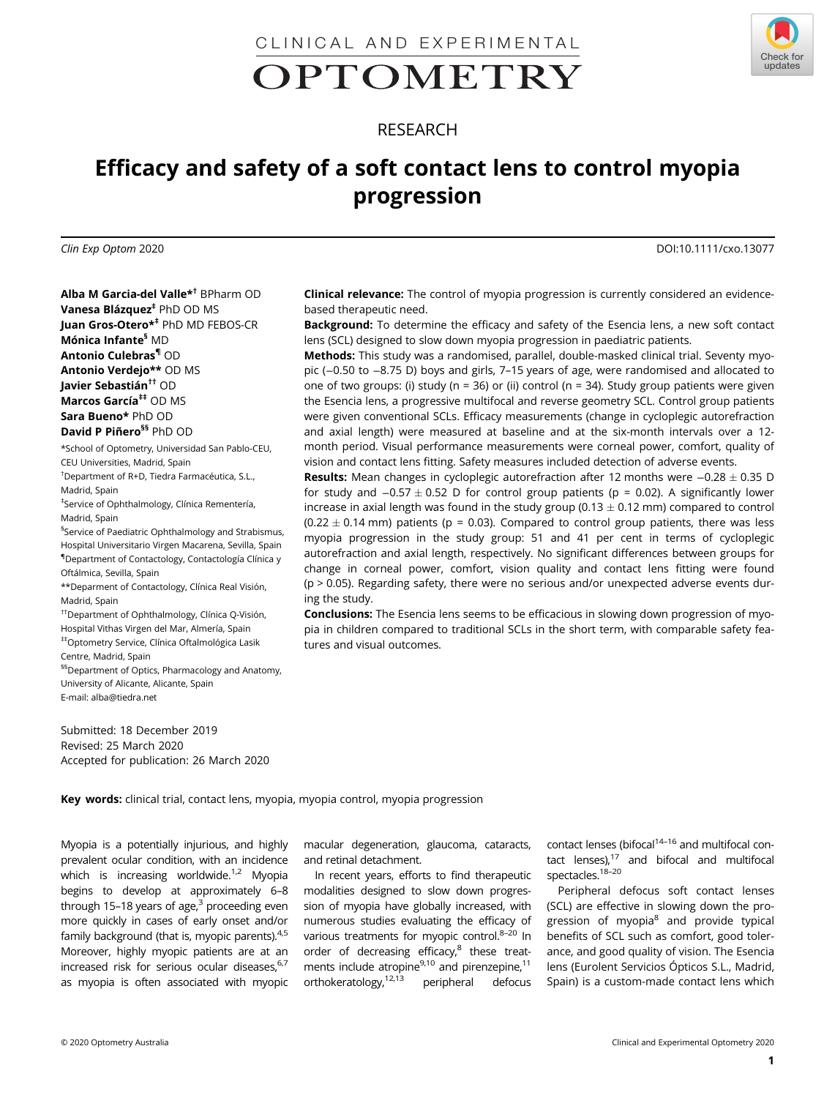CLINICAL AND EXPERIMENTAL

# OPTOMETRY



# Efficacy and safety of a soft contact lens to control myopia progression

Clin Exp Optom 2020 DOI:10.1111/cxo.13077

Check for

updates

Alba M Garcia-del Valle\*† BPharm OD Vanesa Blázquez<sup>‡</sup> PhD OD MS Juan Gros-Otero\*‡ PhD MD FEBOS-CR Mónica Infante§ MD Antonio Culebras¶ OD Antonio Verdejo\*\* OD MS Javier Sebastián<sup>††</sup> OD Marcos García<sup>‡‡</sup> OD MS Sara Bueno\* PhD OD David P Piñero<sup>§§</sup> PhD OD

\*School of Optometry, Universidad San Pablo-CEU, CEU Universities, Madrid, Spain

† Department of R+D, Tiedra Farmacéutica, S.L., Madrid, Spain

‡ Service of Ophthalmology, Clínica Rementería, Madrid, Spain

§ Service of Paediatric Ophthalmology and Strabismus, Hospital Universitario Virgen Macarena, Sevilla, Spain ¶ Department of Contactology, Contactología Clínica y Oftálmica, Sevilla, Spain

\*\*Deparment of Contactology, Clínica Real Visión, Madrid, Spain

††Department of Ophthalmology, Clínica Q-Visión, Hospital Vithas Virgen del Mar, Almería, Spain ‡‡Optometry Service, Clínica Oftalmológica Lasik Centre, Madrid, Spain

<sup>§§</sup>Department of Optics, Pharmacology and Anatomy, University of Alicante, Alicante, Spain E-mail: [alba@tiedra.net](mailto:alba@tiedra.net)

Submitted: 18 December 2019 Revised: 25 March 2020 Accepted for publication: 26 March 2020 Clinical relevance: The control of myopia progression is currently considered an evidencebased therapeutic need.

Background: To determine the efficacy and safety of the Esencia lens, a new soft contact lens (SCL) designed to slow down myopia progression in paediatric patients.

Methods: This study was a randomised, parallel, double-masked clinical trial. Seventy myopic (−0.50 to −8.75 D) boys and girls, 7–15 years of age, were randomised and allocated to one of two groups: (i) study (n = 36) or (ii) control (n = 34). Study group patients were given the Esencia lens, a progressive multifocal and reverse geometry SCL. Control group patients were given conventional SCLs. Efficacy measurements (change in cycloplegic autorefraction and axial length) were measured at baseline and at the six-month intervals over a 12 month period. Visual performance measurements were corneal power, comfort, quality of vision and contact lens fitting. Safety measures included detection of adverse events.

**Results:** Mean changes in cycloplegic autorefraction after 12 months were  $-0.28 \pm 0.35$  D for study and  $-0.57 \pm 0.52$  D for control group patients (p = 0.02). A significantly lower increase in axial length was found in the study group (0.13  $\pm$  0.12 mm) compared to control  $(0.22 \pm 0.14$  mm) patients (p = 0.03). Compared to control group patients, there was less myopia progression in the study group: 51 and 41 per cent in terms of cycloplegic autorefraction and axial length, respectively. No significant differences between groups for change in corneal power, comfort, vision quality and contact lens fitting were found (p > 0.05). Regarding safety, there were no serious and/or unexpected adverse events during the study.

Conclusions: The Esencia lens seems to be efficacious in slowing down progression of myopia in children compared to traditional SCLs in the short term, with comparable safety features and visual outcomes.

Key words: clinical trial, contact lens, myopia, myopia control, myopia progression

Myopia is a potentially injurious, and highly prevalent ocular condition, with an incidence which is increasing worldwide. $1/2$  Myopia begins to develop at approximately 6–8 through 15–18 years of age, $3$  proceeding even more quickly in cases of early onset and/or family background (that is, myopic parents).<sup>4,5</sup> Moreover, highly myopic patients are at an increased risk for serious ocular diseases, $6,7$ as myopia is often associated with myopic

macular degeneration, glaucoma, cataracts, and retinal detachment.

In recent years, efforts to find therapeutic modalities designed to slow down progression of myopia have globally increased, with numerous studies evaluating the efficacy of various treatments for myopic control.<sup>8-20</sup> In order of decreasing efficacy, $8$  these treatments include atropine $9,10$  and pirenzepine,  $11$ orthokeratology,12,13 peripheral defocus contact lenses (bifocal<sup>14-16</sup> and multifocal contact lenses), $17$  and bifocal and multifocal spectacles.<sup>18-20</sup>

Peripheral defocus soft contact lenses (SCL) are effective in slowing down the progression of myopia $8$  and provide typical benefits of SCL such as comfort, good tolerance, and good quality of vision. The Esencia lens (Eurolent Servicios Ópticos S.L., Madrid, Spain) is a custom-made contact lens which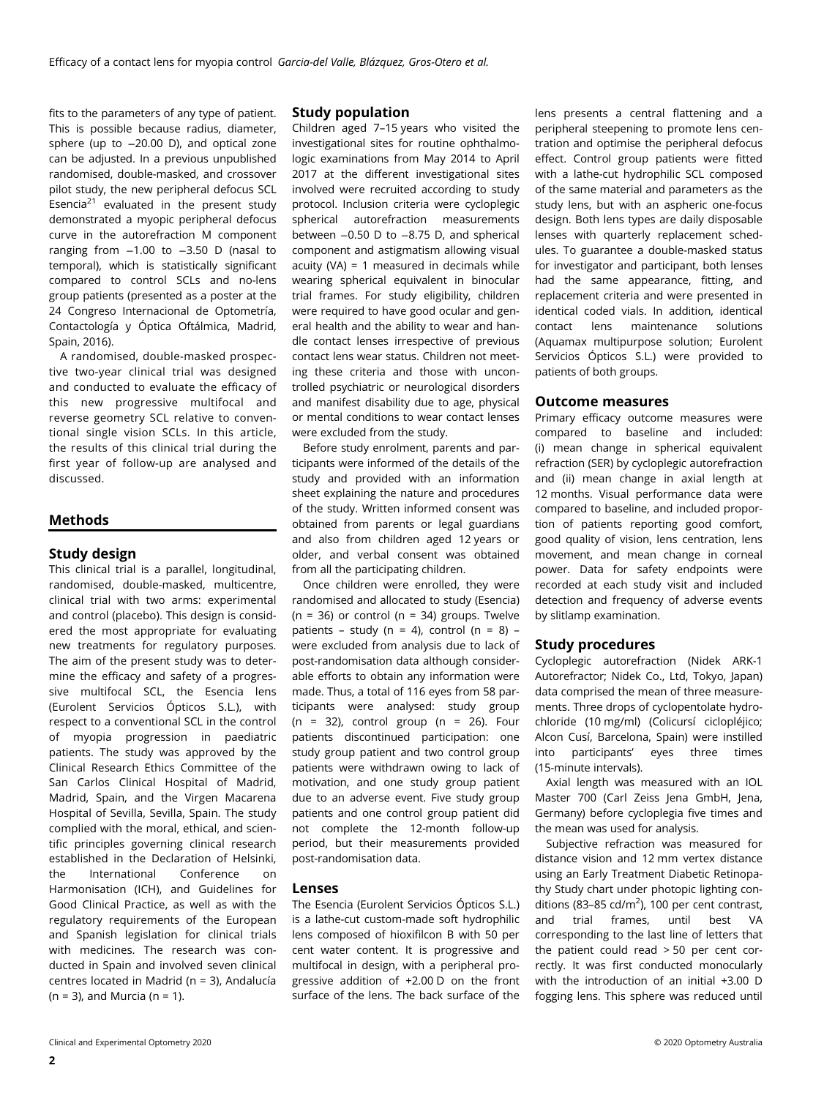fits to the parameters of any type of patient. This is possible because radius, diameter, sphere (up to −20.00 D), and optical zone can be adjusted. In a previous unpublished randomised, double-masked, and crossover pilot study, the new peripheral defocus SCL Esencia<sup>21</sup> evaluated in the present study demonstrated a myopic peripheral defocus curve in the autorefraction M component ranging from −1.00 to −3.50 D (nasal to temporal), which is statistically significant compared to control SCLs and no-lens group patients (presented as a poster at the 24 Congreso Internacional de Optometría, Contactología y Óptica Oftálmica, Madrid, Spain, 2016).

A randomised, double-masked prospective two-year clinical trial was designed and conducted to evaluate the efficacy of this new progressive multifocal and reverse geometry SCL relative to conventional single vision SCLs. In this article, the results of this clinical trial during the first year of follow-up are analysed and discussed.

# Methods

#### Study design

This clinical trial is a parallel, longitudinal, randomised, double-masked, multicentre, clinical trial with two arms: experimental and control (placebo). This design is considered the most appropriate for evaluating new treatments for regulatory purposes. The aim of the present study was to determine the efficacy and safety of a progressive multifocal SCL, the Esencia lens (Eurolent Servicios Ópticos S.L.), with respect to a conventional SCL in the control of myopia progression in paediatric patients. The study was approved by the Clinical Research Ethics Committee of the San Carlos Clinical Hospital of Madrid, Madrid, Spain, and the Virgen Macarena Hospital of Sevilla, Sevilla, Spain. The study complied with the moral, ethical, and scientific principles governing clinical research established in the Declaration of Helsinki, the International Conference on Harmonisation (ICH), and Guidelines for Good Clinical Practice, as well as with the regulatory requirements of the European and Spanish legislation for clinical trials with medicines. The research was conducted in Spain and involved seven clinical centres located in Madrid (n = 3), Andalucía  $(n = 3)$ , and Murcia  $(n = 1)$ .

#### Study population

Children aged 7–15 years who visited the investigational sites for routine ophthalmologic examinations from May 2014 to April 2017 at the different investigational sites involved were recruited according to study protocol. Inclusion criteria were cycloplegic spherical autorefraction measurements between −0.50 D to −8.75 D, and spherical component and astigmatism allowing visual acuity (VA) = 1 measured in decimals while wearing spherical equivalent in binocular trial frames. For study eligibility, children were required to have good ocular and general health and the ability to wear and handle contact lenses irrespective of previous contact lens wear status. Children not meeting these criteria and those with uncontrolled psychiatric or neurological disorders and manifest disability due to age, physical or mental conditions to wear contact lenses were excluded from the study.

Before study enrolment, parents and participants were informed of the details of the study and provided with an information sheet explaining the nature and procedures of the study. Written informed consent was obtained from parents or legal guardians and also from children aged 12 years or older, and verbal consent was obtained from all the participating children.

Once children were enrolled, they were randomised and allocated to study (Esencia) ( $n = 36$ ) or control ( $n = 34$ ) groups. Twelve patients – study (n = 4), control (n = 8) – were excluded from analysis due to lack of post-randomisation data although considerable efforts to obtain any information were made. Thus, a total of 116 eyes from 58 participants were analysed: study group (n = 32), control group (n = 26). Four patients discontinued participation: one study group patient and two control group patients were withdrawn owing to lack of motivation, and one study group patient due to an adverse event. Five study group patients and one control group patient did not complete the 12-month follow-up period, but their measurements provided post-randomisation data.

#### Lenses

The Esencia (Eurolent Servicios Ópticos S.L.) is a lathe-cut custom-made soft hydrophilic lens composed of hioxifilcon B with 50 per cent water content. It is progressive and multifocal in design, with a peripheral progressive addition of +2.00 D on the front surface of the lens. The back surface of the

lens presents a central flattening and a peripheral steepening to promote lens centration and optimise the peripheral defocus effect. Control group patients were fitted with a lathe-cut hydrophilic SCL composed of the same material and parameters as the study lens, but with an aspheric one-focus design. Both lens types are daily disposable lenses with quarterly replacement schedules. To guarantee a double-masked status for investigator and participant, both lenses had the same appearance, fitting, and replacement criteria and were presented in identical coded vials. In addition, identical contact lens maintenance solutions (Aquamax multipurpose solution; Eurolent Servicios Ópticos S.L.) were provided to patients of both groups.

#### Outcome measures

Primary efficacy outcome measures were compared to baseline and included: (i) mean change in spherical equivalent refraction (SER) by cycloplegic autorefraction and (ii) mean change in axial length at 12 months. Visual performance data were compared to baseline, and included proportion of patients reporting good comfort, good quality of vision, lens centration, lens movement, and mean change in corneal power. Data for safety endpoints were recorded at each study visit and included detection and frequency of adverse events by slitlamp examination.

#### Study procedures

Cycloplegic autorefraction (Nidek ARK-1 Autorefractor; Nidek Co., Ltd, Tokyo, Japan) data comprised the mean of three measurements. Three drops of cyclopentolate hydrochloride (10 mg/ml) (Colicursí ciclopléjico; Alcon Cusí, Barcelona, Spain) were instilled into participants' eyes three times (15-minute intervals).

Axial length was measured with an IOL Master 700 (Carl Zeiss Jena GmbH, Jena, Germany) before cycloplegia five times and the mean was used for analysis.

Subjective refraction was measured for distance vision and 12 mm vertex distance using an Early Treatment Diabetic Retinopathy Study chart under photopic lighting conditions (83-85 cd/m<sup>2</sup>), 100 per cent contrast, and trial frames, until best VA corresponding to the last line of letters that the patient could read > 50 per cent correctly. It was first conducted monocularly with the introduction of an initial +3.00 D fogging lens. This sphere was reduced until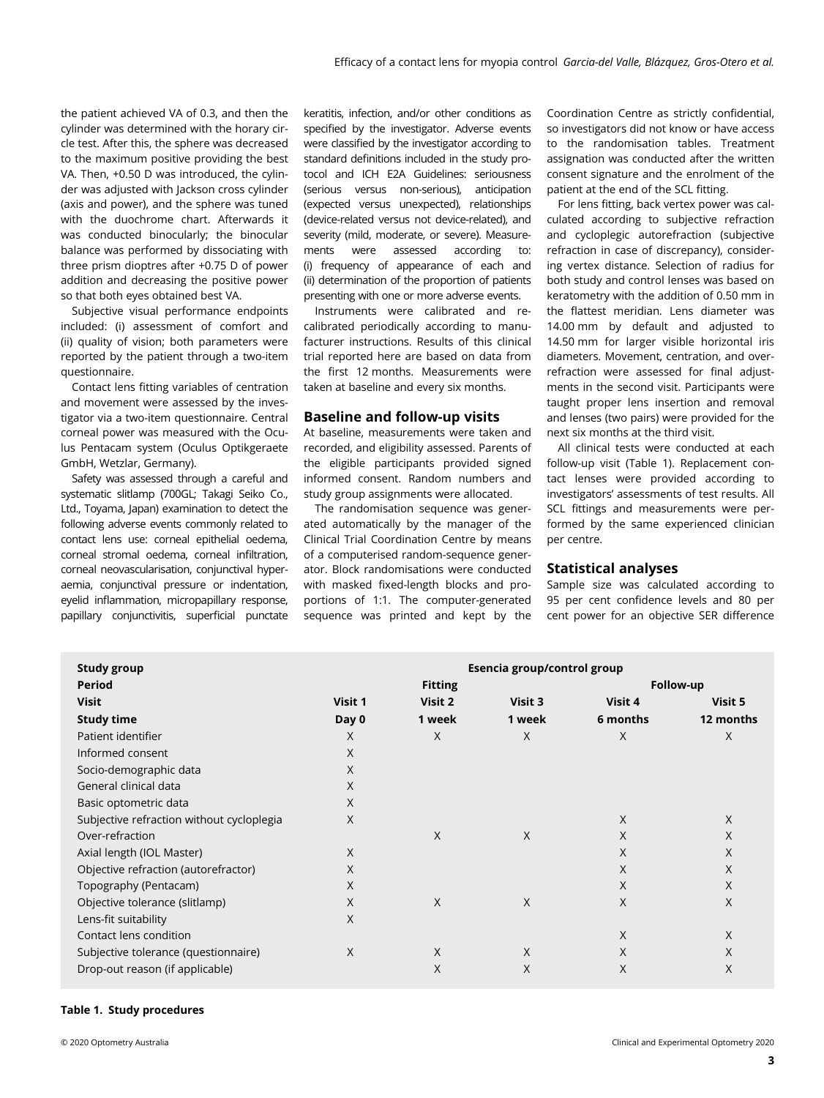the patient achieved VA of 0.3, and then the cylinder was determined with the horary circle test. After this, the sphere was decreased to the maximum positive providing the best VA. Then, +0.50 D was introduced, the cylinder was adjusted with Jackson cross cylinder (axis and power), and the sphere was tuned with the duochrome chart. Afterwards it was conducted binocularly; the binocular balance was performed by dissociating with three prism dioptres after +0.75 D of power addition and decreasing the positive power so that both eyes obtained best VA.

Subjective visual performance endpoints included: (i) assessment of comfort and (ii) quality of vision; both parameters were reported by the patient through a two-item questionnaire.

Contact lens fitting variables of centration and movement were assessed by the investigator via a two-item questionnaire. Central corneal power was measured with the Oculus Pentacam system (Oculus Optikgeraete GmbH, Wetzlar, Germany).

Safety was assessed through a careful and systematic slitlamp (700GL; Takagi Seiko Co., Ltd., Toyama, Japan) examination to detect the following adverse events commonly related to contact lens use: corneal epithelial oedema, corneal stromal oedema, corneal infiltration, corneal neovascularisation, conjunctival hyperaemia, conjunctival pressure or indentation, eyelid inflammation, micropapillary response, papillary conjunctivitis, superficial punctate

keratitis, infection, and/or other conditions as specified by the investigator. Adverse events were classified by the investigator according to standard definitions included in the study protocol and ICH E2A Guidelines: seriousness (serious versus non-serious), anticipation (expected versus unexpected), relationships (device-related versus not device-related), and severity (mild, moderate, or severe). Measurements were assessed according to: (i) frequency of appearance of each and (ii) determination of the proportion of patients presenting with one or more adverse events.

Instruments were calibrated and recalibrated periodically according to manufacturer instructions. Results of this clinical trial reported here are based on data from the first 12 months. Measurements were taken at baseline and every six months.

#### Baseline and follow-up visits

At baseline, measurements were taken and recorded, and eligibility assessed. Parents of the eligible participants provided signed informed consent. Random numbers and study group assignments were allocated.

The randomisation sequence was generated automatically by the manager of the Clinical Trial Coordination Centre by means of a computerised random-sequence generator. Block randomisations were conducted with masked fixed-length blocks and proportions of 1:1. The computer-generated sequence was printed and kept by the Coordination Centre as strictly confidential, so investigators did not know or have access to the randomisation tables. Treatment assignation was conducted after the written consent signature and the enrolment of the patient at the end of the SCL fitting.

For lens fitting, back vertex power was calculated according to subjective refraction and cycloplegic autorefraction (subjective refraction in case of discrepancy), considering vertex distance. Selection of radius for both study and control lenses was based on keratometry with the addition of 0.50 mm in the flattest meridian. Lens diameter was 14.00 mm by default and adjusted to 14.50 mm for larger visible horizontal iris diameters. Movement, centration, and overrefraction were assessed for final adjustments in the second visit. Participants were taught proper lens insertion and removal and lenses (two pairs) were provided for the next six months at the third visit.

All clinical tests were conducted at each follow-up visit (Table 1). Replacement contact lenses were provided according to investigators' assessments of test results. All SCL fittings and measurements were performed by the same experienced clinician per centre.

#### Statistical analyses

Sample size was calculated according to 95 per cent confidence levels and 80 per cent power for an objective SER difference

| <b>Study group</b>                        | Esencia group/control group |          |         |           |           |  |
|-------------------------------------------|-----------------------------|----------|---------|-----------|-----------|--|
| <b>Period</b>                             | <b>Fitting</b>              |          |         | Follow-up |           |  |
| <b>Visit</b>                              | Visit 1                     | Visit 2  | Visit 3 | Visit 4   | Visit 5   |  |
| <b>Study time</b>                         | Day 0                       | 1 week   | 1 week  | 6 months  | 12 months |  |
| Patient identifier                        | X                           | X        | X       | X         | X         |  |
| Informed consent                          | X                           |          |         |           |           |  |
| Socio-demographic data                    | X                           |          |         |           |           |  |
| General clinical data                     | X                           |          |         |           |           |  |
| Basic optometric data                     | X                           |          |         |           |           |  |
| Subjective refraction without cycloplegia | X                           |          |         | X         | $\times$  |  |
| Over-refraction                           |                             | $\times$ | X       | X         | X         |  |
| Axial length (IOL Master)                 | X                           |          |         | X         | X         |  |
| Objective refraction (autorefractor)      | X                           |          |         | X         | X         |  |
| Topography (Pentacam)                     | X                           |          |         | $\chi$    | X         |  |
| Objective tolerance (slitlamp)            | X                           | $\times$ | X       | X         | X         |  |
| Lens-fit suitability                      | X                           |          |         |           |           |  |
| Contact lens condition                    |                             |          |         | X         | X         |  |
| Subjective tolerance (questionnaire)      | X                           | $\times$ | X       | X         | X         |  |
| Drop-out reason (if applicable)           |                             | X        | X       | X         | X         |  |

#### Table 1. Study procedures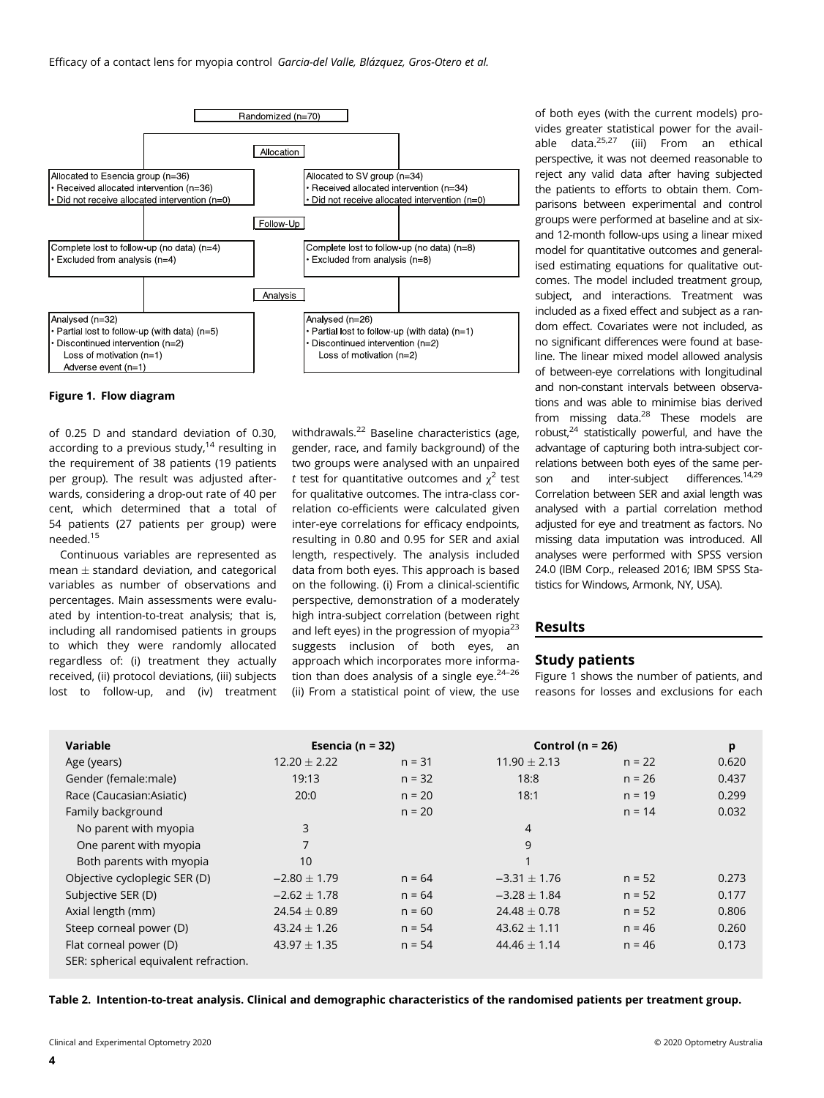

#### Figure 1. Flow diagram

of 0.25 D and standard deviation of 0.30, according to a previous study, $14$  resulting in the requirement of 38 patients (19 patients per group). The result was adjusted afterwards, considering a drop-out rate of 40 per cent, which determined that a total of 54 patients (27 patients per group) were needed.15

Continuous variables are represented as mean  $\pm$  standard deviation, and categorical variables as number of observations and percentages. Main assessments were evaluated by intention-to-treat analysis; that is, including all randomised patients in groups to which they were randomly allocated regardless of: (i) treatment they actually received, (ii) protocol deviations, (iii) subjects lost to follow-up, and (iv) treatment

withdrawals.<sup>22</sup> Baseline characteristics (age, gender, race, and family background) of the two groups were analysed with an unpaired t test for quantitative outcomes and  $\chi^2$  test for qualitative outcomes. The intra-class correlation co-efficients were calculated given inter-eye correlations for efficacy endpoints, resulting in 0.80 and 0.95 for SER and axial length, respectively. The analysis included data from both eyes. This approach is based on the following. (i) From a clinical-scientific perspective, demonstration of a moderately high intra-subject correlation (between right and left eyes) in the progression of myopia<sup>23</sup> suggests inclusion of both eyes, an approach which incorporates more information than does analysis of a single eye. $24-26$ (ii) From a statistical point of view, the use

of both eyes (with the current models) provides greater statistical power for the available data.25,27 (iii) From an ethical perspective, it was not deemed reasonable to reject any valid data after having subjected the patients to efforts to obtain them. Comparisons between experimental and control groups were performed at baseline and at sixand 12-month follow-ups using a linear mixed model for quantitative outcomes and generalised estimating equations for qualitative outcomes. The model included treatment group, subject, and interactions. Treatment was included as a fixed effect and subject as a random effect. Covariates were not included, as no significant differences were found at baseline. The linear mixed model allowed analysis of between-eye correlations with longitudinal and non-constant intervals between observations and was able to minimise bias derived from missing data.<sup>28</sup> These models are robust,24 statistically powerful, and have the advantage of capturing both intra-subject correlations between both eyes of the same person and inter-subject differences.<sup>14,29</sup> Correlation between SER and axial length was analysed with a partial correlation method adjusted for eye and treatment as factors. No missing data imputation was introduced. All analyses were performed with SPSS version 24.0 (IBM Corp., released 2016; IBM SPSS Statistics for Windows, Armonk, NY, USA).

#### Results

#### Study patients

Figure 1 shows the number of patients, and reasons for losses and exclusions for each

| Variable                              | Esencia ( $n = 32$ ) |          | Control ( $n = 26$ ) |          | p     |
|---------------------------------------|----------------------|----------|----------------------|----------|-------|
| Age (years)                           | $12.20 \pm 2.22$     | $n = 31$ | $11.90 + 2.13$       | $n = 22$ | 0.620 |
| Gender (female:male)                  | 19:13                | $n = 32$ | 18:8                 | $n = 26$ | 0.437 |
| Race (Caucasian:Asiatic)              | 20:0                 | $n = 20$ | 18:1                 | $n = 19$ | 0.299 |
| Family background                     |                      | $n = 20$ |                      | $n = 14$ | 0.032 |
| No parent with myopia                 | 3                    |          | $\overline{4}$       |          |       |
| One parent with myopia                | 7                    |          | 9                    |          |       |
| Both parents with myopia              | 10                   |          | 1                    |          |       |
| Objective cycloplegic SER (D)         | $-2.80 \pm 1.79$     | $n = 64$ | $-3.31 \pm 1.76$     | $n = 52$ | 0.273 |
| Subjective SER (D)                    | $-2.62 \pm 1.78$     | $n = 64$ | $-3.28 \pm 1.84$     | $n = 52$ | 0.177 |
| Axial length (mm)                     | $24.54 \pm 0.89$     | $n = 60$ | $24.48 \pm 0.78$     | $n = 52$ | 0.806 |
| Steep corneal power (D)               | $43.24 \pm 1.26$     | $n = 54$ | $43.62 \pm 1.11$     | $n = 46$ | 0.260 |
| Flat corneal power (D)                | $43.97 \pm 1.35$     | $n = 54$ | $44.46 \pm 1.14$     | $n = 46$ | 0.173 |
| SER: spherical equivalent refraction. |                      |          |                      |          |       |

Table 2. Intention-to-treat analysis. Clinical and demographic characteristics of the randomised patients per treatment group.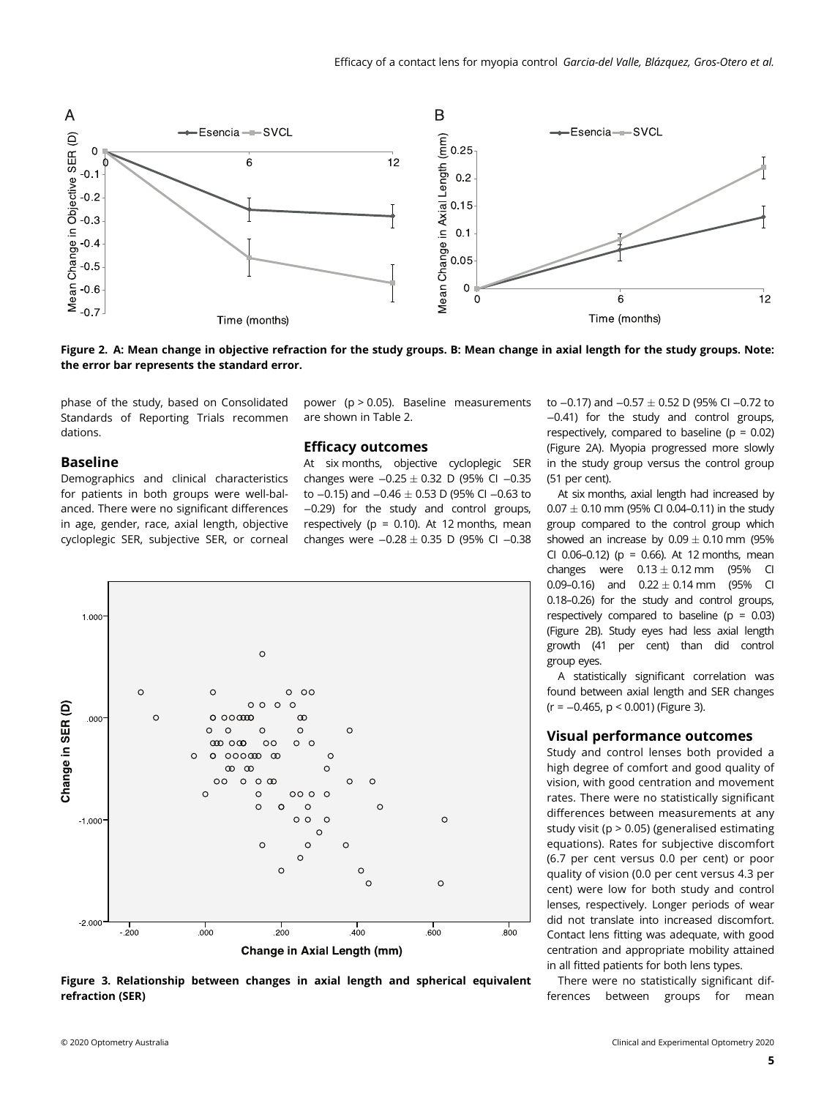

Figure 2. A: Mean change in objective refraction for the study groups. B: Mean change in axial length for the study groups. Note: the error bar represents the standard error.

phase of the study, based on Consolidated Standards of Reporting Trials recommen dations.

# Baseline

Demographics and clinical characteristics for patients in both groups were well-balanced. There were no significant differences in age, gender, race, axial length, objective cycloplegic SER, subjective SER, or corneal

power (p > 0.05). Baseline measurements are shown in Table 2.

### Efficacy outcomes

At six months, objective cycloplegic SER changes were  $-0.25 \pm 0.32$  D (95% CI  $-0.35$ to  $-0.15$ ) and  $-0.46 \pm 0.53$  D (95% CI  $-0.63$  to −0.29) for the study and control groups, respectively ( $p = 0.10$ ). At 12 months, mean changes were  $-0.28 \pm 0.35$  D (95% CI  $-0.38$ 



Figure 3. Relationship between changes in axial length and spherical equivalent refraction (SER)

to −0.17) and −0.57  $\pm$  0.52 D (95% CI −0.72 to −0.41) for the study and control groups, respectively, compared to baseline ( $p = 0.02$ ) (Figure 2A). Myopia progressed more slowly in the study group versus the control group (51 per cent).

At six months, axial length had increased by  $0.07 \pm 0.10$  mm (95% CI 0.04-0.11) in the study group compared to the control group which showed an increase by  $0.09 \pm 0.10$  mm (95%) CI 0.06-0.12) ( $p = 0.66$ ). At 12 months, mean changes were  $0.13 \pm 0.12$  mm (95% CI 0.09–0.16) and  $0.22 \pm 0.14$  mm (95% CI 0.18–0.26) for the study and control groups, respectively compared to baseline ( $p = 0.03$ ) (Figure 2B). Study eyes had less axial length growth (41 per cent) than did control group eyes.

A statistically significant correlation was found between axial length and SER changes (r = −0.465, p < 0.001) (Figure 3).

#### Visual performance outcomes

Study and control lenses both provided a high degree of comfort and good quality of vision, with good centration and movement rates. There were no statistically significant differences between measurements at any study visit (p > 0.05) (generalised estimating equations). Rates for subjective discomfort (6.7 per cent versus 0.0 per cent) or poor quality of vision (0.0 per cent versus 4.3 per cent) were low for both study and control lenses, respectively. Longer periods of wear did not translate into increased discomfort. Contact lens fitting was adequate, with good centration and appropriate mobility attained in all fitted patients for both lens types.

There were no statistically significant differences between groups for mean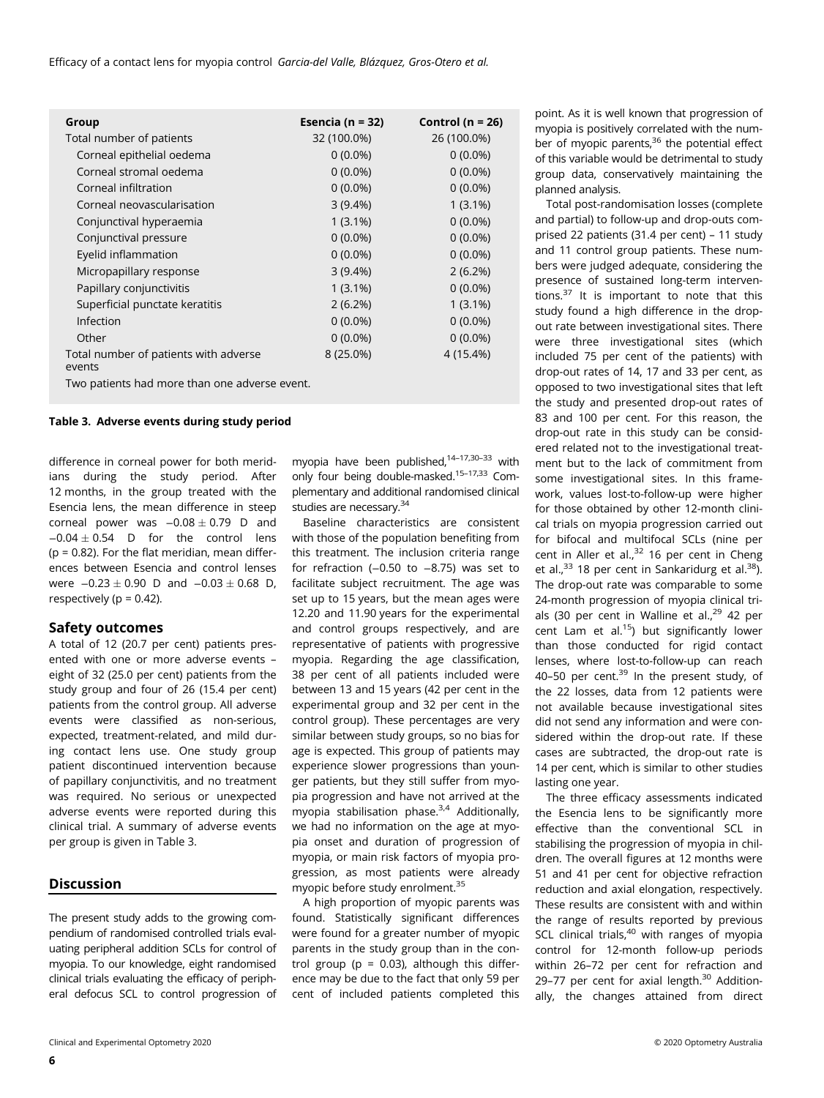Efficacy of a contact lens for myopia control Garcia-del Valle, Blázquez, Gros-Otero et al.

| Group                                           | Esencia ( $n = 32$ ) | Control ( $n = 26$ ) |
|-------------------------------------------------|----------------------|----------------------|
| Total number of patients                        | 32 (100.0%)          | 26 (100.0%)          |
| Corneal epithelial oedema                       | $0(0.0\%)$           | $0(0.0\%)$           |
| Corneal stromal oedema                          | $0(0.0\%)$           | $0(0.0\%)$           |
| Corneal infiltration                            | $0(0.0\%)$           | $0(0.0\%)$           |
| Corneal neovascularisation                      | $3(9.4\%)$           | $1(3.1\%)$           |
| Conjunctival hyperaemia                         | $1(3.1\%)$           | $0(0.0\%)$           |
| Conjunctival pressure                           | $0(0.0\%)$           | $0(0.0\%)$           |
| Eyelid inflammation                             | $0(0.0\%)$           | $0(0.0\%)$           |
| Micropapillary response                         | $3(9.4\%)$           | 2(6.2%)              |
| Papillary conjunctivitis                        | $1(3.1\%)$           | $0(0.0\%)$           |
| Superficial punctate keratitis                  | $2(6.2\%)$           | $1(3.1\%)$           |
| Infection                                       | $0(0.0\%)$           | $0(0.0\%)$           |
| Other                                           | $0(0.0\%)$           | $0(0.0\%)$           |
| Total number of patients with adverse<br>events | $8(25.0\%)$          | 4 (15.4%)            |
| Two patients had more than one adverse event.   |                      |                      |

### Table 3. Adverse events during study period

difference in corneal power for both meridians during the study period. After 12 months, in the group treated with the Esencia lens, the mean difference in steep corneal power was  $-0.08 \pm 0.79$  D and  $-0.04 \pm 0.54$  D for the control lens  $(p = 0.82)$ . For the flat meridian, mean differences between Esencia and control lenses were  $-0.23 \pm 0.90$  D and  $-0.03 \pm 0.68$  D, respectively ( $p = 0.42$ ).

#### Safety outcomes

A total of 12 (20.7 per cent) patients presented with one or more adverse events – eight of 32 (25.0 per cent) patients from the study group and four of 26 (15.4 per cent) patients from the control group. All adverse events were classified as non-serious, expected, treatment-related, and mild during contact lens use. One study group patient discontinued intervention because of papillary conjunctivitis, and no treatment was required. No serious or unexpected adverse events were reported during this clinical trial. A summary of adverse events per group is given in Table 3.

#### Discussion

The present study adds to the growing compendium of randomised controlled trials evaluating peripheral addition SCLs for control of myopia. To our knowledge, eight randomised clinical trials evaluating the efficacy of peripheral defocus SCL to control progression of myopia have been published,<sup>14-17,30-33</sup> with only four being double-masked.15–17,33 Complementary and additional randomised clinical studies are necessary.<sup>34</sup>

Baseline characteristics are consistent with those of the population benefiting from this treatment. The inclusion criteria range for refraction (−0.50 to −8.75) was set to facilitate subject recruitment. The age was set up to 15 years, but the mean ages were 12.20 and 11.90 years for the experimental and control groups respectively, and are representative of patients with progressive myopia. Regarding the age classification, 38 per cent of all patients included were between 13 and 15 years (42 per cent in the experimental group and 32 per cent in the control group). These percentages are very similar between study groups, so no bias for age is expected. This group of patients may experience slower progressions than younger patients, but they still suffer from myopia progression and have not arrived at the myopia stabilisation phase. $3,4$  Additionally, we had no information on the age at myopia onset and duration of progression of myopia, or main risk factors of myopia progression, as most patients were already myopic before study enrolment.35

A high proportion of myopic parents was found. Statistically significant differences were found for a greater number of myopic parents in the study group than in the control group ( $p = 0.03$ ), although this difference may be due to the fact that only 59 per cent of included patients completed this

point. As it is well known that progression of myopia is positively correlated with the number of myopic parents,<sup>36</sup> the potential effect of this variable would be detrimental to study group data, conservatively maintaining the planned analysis.

Total post-randomisation losses (complete and partial) to follow-up and drop-outs comprised 22 patients (31.4 per cent) – 11 study and 11 control group patients. These numbers were judged adequate, considering the presence of sustained long-term interventions. $37$  It is important to note that this study found a high difference in the dropout rate between investigational sites. There were three investigational sites (which included 75 per cent of the patients) with drop-out rates of 14, 17 and 33 per cent, as opposed to two investigational sites that left the study and presented drop-out rates of 83 and 100 per cent. For this reason, the drop-out rate in this study can be considered related not to the investigational treatment but to the lack of commitment from some investigational sites. In this framework, values lost-to-follow-up were higher for those obtained by other 12-month clinical trials on myopia progression carried out for bifocal and multifocal SCLs (nine per cent in Aller et al., $32$  16 per cent in Cheng et al.,  $33$  18 per cent in Sankaridurg et al.  $38$ ). The drop-out rate was comparable to some 24-month progression of myopia clinical trials (30 per cent in Walline et al.,<sup>29</sup> 42 per cent Lam et al. $15$ ) but significantly lower than those conducted for rigid contact lenses, where lost-to-follow-up can reach 40–50 per cent. $39$  In the present study, of the 22 losses, data from 12 patients were not available because investigational sites did not send any information and were considered within the drop-out rate. If these cases are subtracted, the drop-out rate is 14 per cent, which is similar to other studies lasting one year.

The three efficacy assessments indicated the Esencia lens to be significantly more effective than the conventional SCL in stabilising the progression of myopia in children. The overall figures at 12 months were 51 and 41 per cent for objective refraction reduction and axial elongation, respectively. These results are consistent with and within the range of results reported by previous SCL clinical trials, $40$  with ranges of myopia control for 12-month follow-up periods within 26–72 per cent for refraction and 29-77 per cent for axial length.<sup>30</sup> Additionally, the changes attained from direct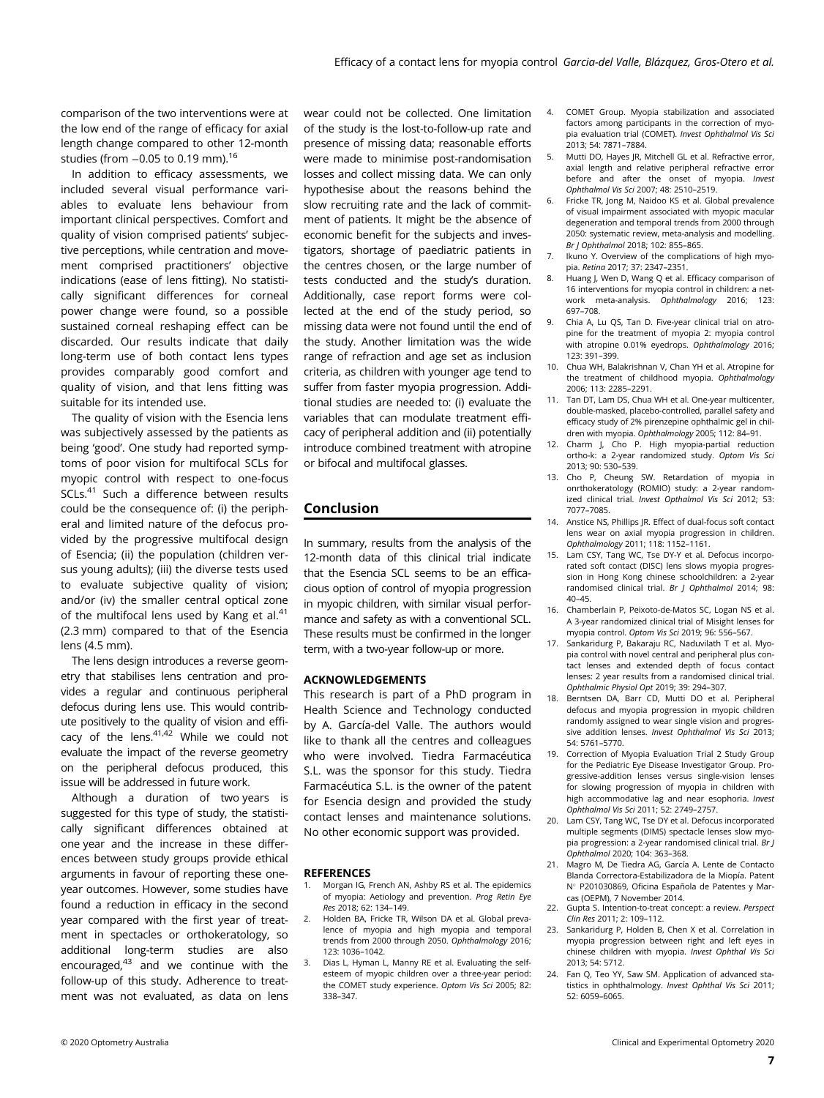comparison of the two interventions were at the low end of the range of efficacy for axial length change compared to other 12-month studies (from  $-0.05$  to 0.19 mm).<sup>16</sup>

In addition to efficacy assessments, we included several visual performance variables to evaluate lens behaviour from important clinical perspectives. Comfort and quality of vision comprised patients' subjective perceptions, while centration and movement comprised practitioners' objective indications (ease of lens fitting). No statistically significant differences for corneal power change were found, so a possible sustained corneal reshaping effect can be discarded. Our results indicate that daily long-term use of both contact lens types provides comparably good comfort and quality of vision, and that lens fitting was suitable for its intended use.

The quality of vision with the Esencia lens was subjectively assessed by the patients as being 'good'. One study had reported symptoms of poor vision for multifocal SCLs for myopic control with respect to one-focus SCLs.<sup>41</sup> Such a difference between results could be the consequence of: (i) the peripheral and limited nature of the defocus provided by the progressive multifocal design of Esencia; (ii) the population (children versus young adults); (iii) the diverse tests used to evaluate subjective quality of vision; and/or (iv) the smaller central optical zone of the multifocal lens used by Kang et al. $41$ (2.3 mm) compared to that of the Esencia lens (4.5 mm).

The lens design introduces a reverse geometry that stabilises lens centration and provides a regular and continuous peripheral defocus during lens use. This would contribute positively to the quality of vision and efficacy of the lens. $41,42$  While we could not evaluate the impact of the reverse geometry on the peripheral defocus produced, this issue will be addressed in future work.

Although a duration of two years is suggested for this type of study, the statistically significant differences obtained at one year and the increase in these differences between study groups provide ethical arguments in favour of reporting these oneyear outcomes. However, some studies have found a reduction in efficacy in the second year compared with the first year of treatment in spectacles or orthokeratology, so additional long-term studies are also encouraged, $43$  and we continue with the follow-up of this study. Adherence to treatment was not evaluated, as data on lens wear could not be collected. One limitation of the study is the lost-to-follow-up rate and presence of missing data; reasonable efforts were made to minimise post-randomisation losses and collect missing data. We can only hypothesise about the reasons behind the slow recruiting rate and the lack of commitment of patients. It might be the absence of economic benefit for the subjects and investigators, shortage of paediatric patients in the centres chosen, or the large number of tests conducted and the study's duration. Additionally, case report forms were collected at the end of the study period, so missing data were not found until the end of the study. Another limitation was the wide range of refraction and age set as inclusion criteria, as children with younger age tend to suffer from faster myopia progression. Additional studies are needed to: (i) evaluate the variables that can modulate treatment efficacy of peripheral addition and (ii) potentially introduce combined treatment with atropine or bifocal and multifocal glasses.

# Conclusion

In summary, results from the analysis of the 12-month data of this clinical trial indicate that the Esencia SCL seems to be an efficacious option of control of myopia progression in myopic children, with similar visual performance and safety as with a conventional SCL. These results must be confirmed in the longer term, with a two-year follow-up or more.

#### ACKNOWLEDGEMENTS

This research is part of a PhD program in Health Science and Technology conducted by A. García-del Valle. The authors would like to thank all the centres and colleagues who were involved. Tiedra Farmacéutica S.L. was the sponsor for this study. Tiedra Farmacéutica S.L. is the owner of the patent for Esencia design and provided the study contact lenses and maintenance solutions. No other economic support was provided.

#### **REFERENCES**

- Morgan IG, French AN, Ashby RS et al. The epidemics of myopia: Aetiology and prevention. Prog Retin Eye Res 2018; 62: 134–149.
- Holden BA, Fricke TR, Wilson DA et al. Global prevalence of myopia and high myopia and temporal trends from 2000 through 2050. Ophthalmology 2016; 123: 1036–1042.
- 3. Dias L, Hyman L, Manny RE et al. Evaluating the selfesteem of myopic children over a three-year period: the COMET study experience. Optom Vis Sci 2005; 82: 338–347.
- 4. COMET Group. Myopia stabilization and associated factors among participants in the correction of myopia evaluation trial (COMET). Invest Ophthalmol Vis Sci 2013; 54: 7871–7884.
- 5. Mutti DO, Hayes JR, Mitchell GL et al. Refractive error, axial length and relative peripheral refractive error before and after the onset of myopia. Invest Ophthalmol Vis Sci 2007; 48: 2510–2519.
- Fricke TR, Jong M, Naidoo KS et al. Global prevalence of visual impairment associated with myopic macular degeneration and temporal trends from 2000 through 2050: systematic review, meta-analysis and modelling. Br J Ophthalmol 2018; 102: 855–865.
- 7. Ikuno Y. Overview of the complications of high myopia. Retina 2017; 37: 2347–2351.
- 8. Huang J, Wen D, Wang Q et al. Efficacy comparison of 16 interventions for myopia control in children: a network meta-analysis. Ophthalmology 2016; 123: 697–708.
- 9. Chia A, Lu QS, Tan D. Five-year clinical trial on atropine for the treatment of myopia 2: myopia control with atropine 0.01% eyedrops. Ophthalmology 2016; 123: 391–399.
- 10. Chua WH, Balakrishnan V, Chan YH et al. Atropine for the treatment of childhood myopia. Ophthalmology 2006; 113: 2285–2291.
- 11. Tan DT, Lam DS, Chua WH et al. One-year multicenter, double-masked, placebo-controlled, parallel safety and efficacy study of 2% pirenzepine ophthalmic gel in children with myopia. Ophthalmology 2005; 112: 84–91.
- 12. Charm J, Cho P. High myonia-partial reduction ortho-k: a 2-year randomized study. Optom Vis Sci 2013; 90: 530–539.
- 13. Cho P, Cheung SW. Retardation of myopia in onrthokeratology (ROMIO) study: a 2-year randomized clinical trial. Invest Opthalmol Vis Sci 2012; 53: 7077–7085.
- 14. Anstice NS, Phillips JR. Effect of dual-focus soft contact lens wear on axial myopia progression in children. Ophthalmology 2011; 118: 1152–1161.
- 15. Lam CSY, Tang WC, Tse DY-Y et al. Defocus incorporated soft contact (DISC) lens slows myopia progression in Hong Kong chinese schoolchildren: a 2-year randomised clinical trial. Br J Ophthalmol 2014; 98: 40–45.
- 16. Chamberlain P, Peixoto-de-Matos SC, Logan NS et al. A 3-year randomized clinical trial of Misight lenses for myopia control. Optom Vis Sci 2019; 96: 556–567.
- 17. Sankaridurg P, Bakaraju RC, Naduvilath T et al. Myopia control with novel central and peripheral plus contact lenses and extended depth of focus contact lenses: 2 year results from a randomised clinical trial. Ophthalmic Physiol Opt 2019; 39: 294–307.
- 18. Berntsen DA, Barr CD, Mutti DO et al. Peripheral defocus and myopia progression in myopic children randomly assigned to wear single vision and progressive addition lenses. Invest Ophthalmol Vis Sci 2013; 54: 5761–5770.
- 19. Correction of Myopia Evaluation Trial 2 Study Group for the Pediatric Eye Disease Investigator Group. Progressive-addition lenses versus single-vision lenses for slowing progression of myopia in children with high accommodative lag and near esophoria. Invest Ophthalmol Vis Sci 2011; 52: 2749–2757.
- 20. Lam CSY, Tang WC, Tse DY et al. Defocus incorporated multiple segments (DIMS) spectacle lenses slow myopia progression: a 2-year randomised clinical trial. Br J Ophthalmol 2020; 104: 363–368.
- 21. Magro M, De Tiedra AG, García A. Lente de Contacto Blanda Correctora-Estabilizadora de la Miopía. Patent Nº P201030869, Oficina Española de Patentes y Marcas (OEPM), 7 November 2014.
- 22. Gupta S. Intention-to-treat concept: a review. Perspect Clin Res 2011; 2: 109–112.
- 23. Sankaridurg P, Holden B, Chen X et al. Correlation in myopia progression between right and left eyes in chinese children with myopia. Invest Ophthal Vis Sci 2013; 54: 5712.
- 24. Fan Q, Teo YY, Saw SM. Application of advanced statistics in ophthalmology. Invest Ophthal Vis Sci 2011; 52: 6059–6065.